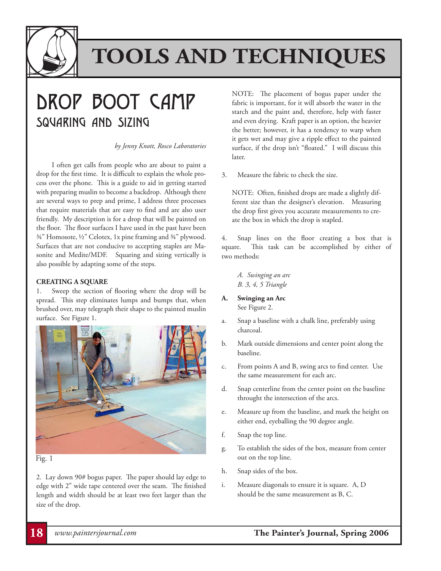

### DROP BOOT CAMP Squaring and Sizing

*by Jenny Knott, Rosco Laboratories*

I often get calls from people who are about to paint a drop for the first time. It is difficult to explain the whole process over the phone. This is a guide to aid in getting started with preparing muslin to become a backdrop. Although there are several ways to prep and prime, I address three processes that require materials that are easy to find and are also user friendly. My description is for a drop that will be painted on the floor. The floor surfaces I have used in the past have been ¾" Homosote, ½" Celotex, 1x pine framing and ¾" plywood. Surfaces that are not conducive to accepting staples are Masonite and Medite/MDF. Squaring and sizing vertically is also possible by adapting some of the steps.

#### **CREATING A SQUARE**

1. Sweep the section of flooring where the drop will be spread. This step eliminates lumps and bumps that, when brushed over, may telegraph their shape to the painted muslin surface. See Figure 1.



#### Fig. 1

2. Lay down 90# bogus paper. The paper should lay edge to edge with 2" wide tape centered over the seam. The finished length and width should be at least two feet larger than the size of the drop.

NOTE: The placement of bogus paper under the fabric is important, for it will absorb the water in the starch and the paint and, therefore, help with faster and even drying. Kraft paper is an option, the heavier the better; however, it has a tendency to warp when it gets wet and may give a ripple effect to the painted surface, if the drop isn't "floated." I will discuss this later.

3. Measure the fabric to check the size.

NOTE: Often, finished drops are made a slightly different size than the designer's elevation. Measuring the drop first gives you accurate measurements to create the box in which the drop is stapled.

4. Snap lines on the floor creating a box that is square. This task can be accomplished by either of two methods:

- *A. Swinging an arc B. 3, 4, 5 Triangle*
- **A. Swinging an Arc**  See Figure 2.
- a. Snap a baseline with a chalk line, preferably using charcoal.
- b. Mark outside dimensions and center point along the baseline.
- c. From points A and B, swing arcs to find center. Use the same measurement for each arc.
- d. Snap centerline from the center point on the baseline throught the intersection of the arcs.
- e. Measure up from the baseline, and mark the height on either end, eyeballing the 90 degree angle.
- f. Snap the top line.
- g. To establish the sides of the box, measure from center out on the top line.
- h. Snap sides of the box.
- i. Measure diagonals to ensure it is square. A, D should be the same measurement as B, C.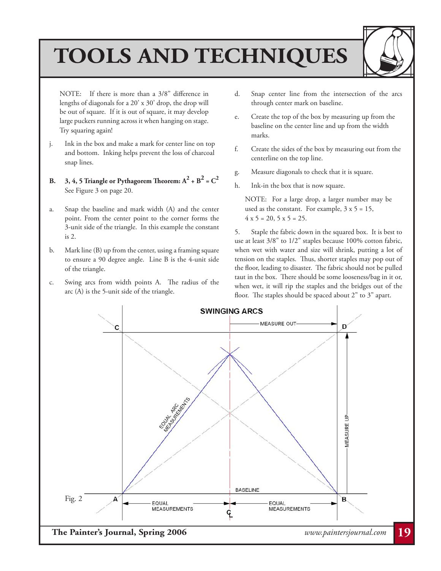

NOTE: If there is more than a 3/8" difference in lengths of diagonals for a 20' x 30' drop, the drop will be out of square. If it is out of square, it may develop large puckers running across it when hanging on stage. Try squaring again!

- j. Ink in the box and make a mark for center line on top and bottom. Inking helps prevent the loss of charcoal snap lines.
- **B.** 3, 4, 5 Triangle or Pythagorem Theorem:  $A^2 + B^2 = C^2$ See Figure 3 on page 20.
- a. Snap the baseline and mark width (A) and the center point. From the center point to the corner forms the 3-unit side of the triangle. In this example the constant is 2.
- b. Mark line (B) up from the center, using a framing square to ensure a 90 degree angle. Line B is the 4-unit side of the triangle.
- c. Swing arcs from width points A. The radius of the arc (A) is the 5-unit side of the triangle.
- d. Snap center line from the intersection of the arcs through center mark on baseline.
- e. Create the top of the box by measuring up from the baseline on the center line and up from the width marks.
- f. Create the sides of the box by measuring out from the centerline on the top line.
- g. Measure diagonals to check that it is square.
- h. Ink-in the box that is now square.

NOTE: For a large drop, a larger number may be used as the constant. For example,  $3 \times 5 = 15$ ,  $4 \times 5 = 20, 5 \times 5 = 25.$ 

5. Staple the fabric down in the squared box. It is best to use at least 3/8" to 1/2" staples because 100% cotton fabric, when wet with water and size will shrink, putting a lot of tension on the staples. Thus, shorter staples may pop out of the floor, leading to disaster. The fabric should not be pulled taut in the box. There should be some looseness/bag in it or, when wet, it will rip the staples and the bridges out of the floor. The staples should be spaced about 2" to 3" apart.

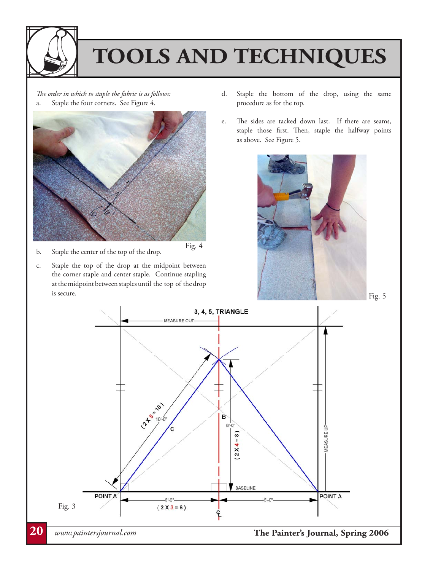

*The order in which to staple the fabric is as follows:* a. Staple the four corners. See Figure 4.



- b. Staple the center of the top of the drop.
- c. Staple the top of the drop at the midpoint between the corner staple and center staple. Continue stapling at the midpoint between staples until the top of the drop is secure.
- d. Staple the bottom of the drop, using the same procedure as for the top.
- e. The sides are tacked down last. If there are seams, staple those first. Then, staple the halfway points as above. See Figure 5.



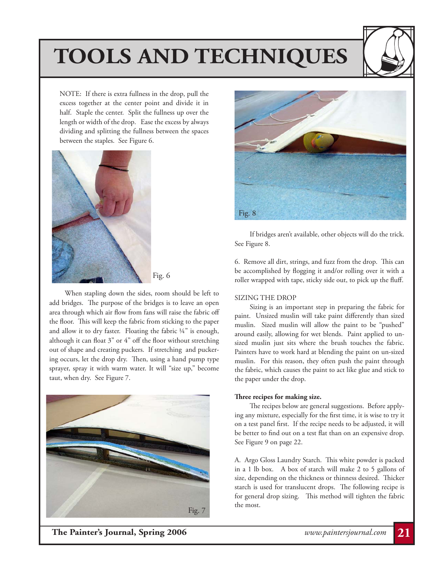

NOTE: If there is extra fullness in the drop, pull the excess together at the center point and divide it in half. Staple the center. Split the fullness up over the length or width of the drop. Ease the excess by always dividing and splitting the fullness between the spaces between the staples. See Figure 6.



Fig. 6

 When stapling down the sides, room should be left to add bridges. The purpose of the bridges is to leave an open area through which air flow from fans will raise the fabric off the floor. This will keep the fabric from sticking to the paper and allow it to dry faster. Floating the fabric ¼" is enough, although it can float 3" or 4" off the floor without stretching out of shape and creating puckers. If stretching and puckering occurs, let the drop dry. Then, using a hand pump type sprayer, spray it with warm water. It will "size up," become taut, when dry. See Figure 7.





 If bridges aren't available, other objects will do the trick. See Figure 8.

6. Remove all dirt, strings, and fuzz from the drop. This can be accomplished by flogging it and/or rolling over it with a roller wrapped with tape, sticky side out, to pick up the fluff.

#### SIZING THE DROP

 Sizing is an important step in preparing the fabric for paint. Unsized muslin will take paint differently than sized muslin. Sized muslin will allow the paint to be "pushed" around easily, allowing for wet blends. Paint applied to unsized muslin just sits where the brush touches the fabric. Painters have to work hard at blending the paint on un-sized muslin. For this reason, they often push the paint through the fabric, which causes the paint to act like glue and stick to the paper under the drop.

#### **Three recipes for making size.**

 The recipes below are general suggestions. Before applying any mixture, especially for the first time, it is wise to try it on a test panel first. If the recipe needs to be adjusted, it will be better to find out on a test flat than on an expensive drop. See Figure 9 on page 22.

A. Argo Gloss Laundry Starch. This white powder is packed in a 1 lb box. A box of starch will make 2 to 5 gallons of size, depending on the thickness or thinness desired. Thicker starch is used for translucent drops. The following recipe is for general drop sizing. This method will tighten the fabric the most.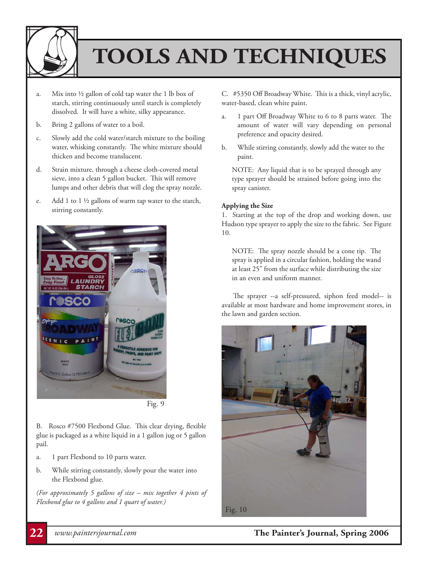

- a. Mix into  $\frac{1}{2}$  gallon of cold tap water the 1 lb box of starch, stirring continuously until starch is completely dissolved. It will have a white, silky appearance.
- b. Bring 2 gallons of water to a boil.
- c. Slowly add the cold water/starch mixture to the boiling water, whisking constantly. The white mixture should thicken and become translucent.
- d. Strain mixture, through a cheese cloth-covered metal sieve, into a clean 5 gallon bucket. This will remove lumps and other debris that will clog the spray nozzle.
- e. Add 1 to 1 ½ gallons of warm tap water to the starch, stirring constantly.



B. Rosco #7500 Flexbond Glue. This clear drying, flexible glue is packaged as a white liquid in a 1 gallon jug or 5 gallon pail.

- a. 1 part Flexbond to 10 parts water.
- b. While stirring constantly, slowly pour the water into the Flexbond glue.

*(For approximately 5 gallons of size – mix together 4 pints of Flexbond glue to 4 gallons and 1 quart of water.)*

C. #5350 Off Broadway White. This is a thick, vinyl acrylic, water-based, clean white paint.

- a. 1 part Off Broadway White to 6 to 8 parts water. The amount of water will vary depending on personal preference and opacity desired.
- b. While stirring constantly, slowly add the water to the paint.

NOTE: Any liquid that is to be sprayed through any type sprayer should be strained before going into the spray canister.

#### **Applying the Size**

1. Starting at the top of the drop and working down, use Hudson type sprayer to apply the size to the fabric. See Figure 10.

NOTE: The spray nozzle should be a cone tip. The spray is applied in a circular fashion, holding the wand at least 25" from the surface while distributing the size in an even and uniform manner.

 The sprayer --a self-pressured, siphon feed model-- is available at most hardware and home improvement stores, in the lawn and garden section.



**22** *www.paintersjournal.com* **The Painter's Journal, Spring 2006**